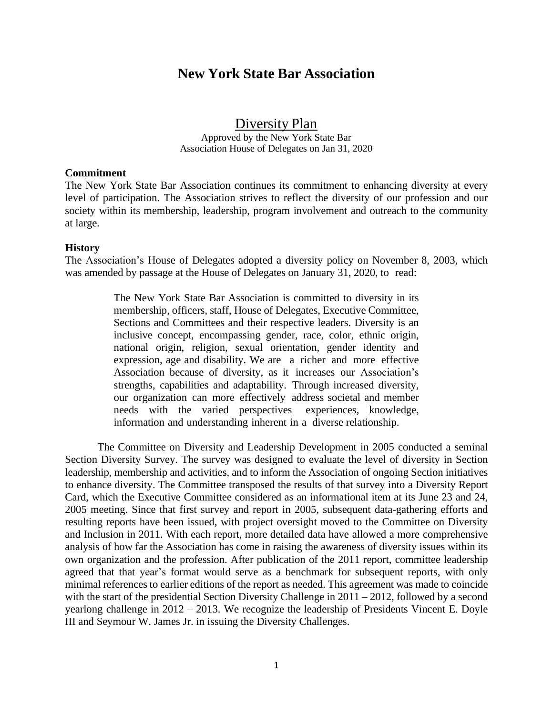# **New York State Bar Association**

Diversity Plan

Approved by the New York State Bar Association House of Delegates on Jan 31, 2020

#### **Commitment**

The New York State Bar Association continues its commitment to enhancing diversity at every level of participation. The Association strives to reflect the diversity of our profession and our society within its membership, leadership, program involvement and outreach to the community at large.

#### **History**

The Association's House of Delegates adopted a diversity policy on November 8, 2003, which was amended by passage at the House of Delegates on January 31, 2020, to read:

> The New York State Bar Association is committed to diversity in its membership, officers, staff, House of Delegates, Executive Committee, Sections and Committees and their respective leaders. Diversity is an inclusive concept, encompassing gender, race, color, ethnic origin, national origin, religion, sexual orientation, gender identity and expression, age and disability. We are a richer and more effective Association because of diversity, as it increases our Association's strengths, capabilities and adaptability. Through increased diversity, our organization can more effectively address societal and member needs with the varied perspectives experiences, knowledge, information and understanding inherent in a diverse relationship.

The Committee on Diversity and Leadership Development in 2005 conducted a seminal Section Diversity Survey. The survey was designed to evaluate the level of diversity in Section leadership, membership and activities, and to inform the Association of ongoing Section initiatives to enhance diversity. The Committee transposed the results of that survey into a Diversity Report Card, which the Executive Committee considered as an informational item at its June 23 and 24, 2005 meeting. Since that first survey and report in 2005, subsequent data-gathering efforts and resulting reports have been issued, with project oversight moved to the Committee on Diversity and Inclusion in 2011. With each report, more detailed data have allowed a more comprehensive analysis of how far the Association has come in raising the awareness of diversity issues within its own organization and the profession. After publication of the 2011 report, committee leadership agreed that that year's format would serve as a benchmark for subsequent reports, with only minimal references to earlier editions of the report as needed. This agreement was made to coincide with the start of the presidential Section Diversity Challenge in 2011 – 2012, followed by a second yearlong challenge in 2012 – 2013. We recognize the leadership of Presidents Vincent E. Doyle III and Seymour W. James Jr. in issuing the Diversity Challenges.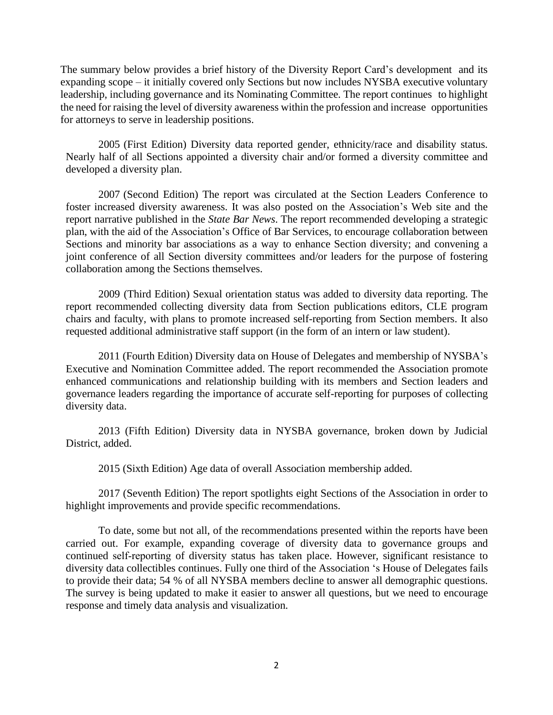The summary below provides a brief history of the Diversity Report Card's development and its expanding scope – it initially covered only Sections but now includes NYSBA executive voluntary leadership, including governance and its Nominating Committee. The report continues to highlight the need for raising the level of diversity awareness within the profession and increase opportunities for attorneys to serve in leadership positions.

2005 (First Edition) Diversity data reported gender, ethnicity/race and disability status. Nearly half of all Sections appointed a diversity chair and/or formed a diversity committee and developed a diversity plan.

2007 (Second Edition) The report was circulated at the Section Leaders Conference to foster increased diversity awareness. It was also posted on the Association's Web site and the report narrative published in the *State Bar News*. The report recommended developing a strategic plan, with the aid of the Association's Office of Bar Services, to encourage collaboration between Sections and minority bar associations as a way to enhance Section diversity; and convening a joint conference of all Section diversity committees and/or leaders for the purpose of fostering collaboration among the Sections themselves.

2009 (Third Edition) Sexual orientation status was added to diversity data reporting. The report recommended collecting diversity data from Section publications editors, CLE program chairs and faculty, with plans to promote increased self-reporting from Section members. It also requested additional administrative staff support (in the form of an intern or law student).

2011 (Fourth Edition) Diversity data on House of Delegates and membership of NYSBA's Executive and Nomination Committee added. The report recommended the Association promote enhanced communications and relationship building with its members and Section leaders and governance leaders regarding the importance of accurate self-reporting for purposes of collecting diversity data.

2013 (Fifth Edition) Diversity data in NYSBA governance, broken down by Judicial District, added.

2015 (Sixth Edition) Age data of overall Association membership added.

2017 (Seventh Edition) The report spotlights eight Sections of the Association in order to highlight improvements and provide specific recommendations.

To date, some but not all, of the recommendations presented within the reports have been carried out. For example, expanding coverage of diversity data to governance groups and continued self‐reporting of diversity status has taken place. However, significant resistance to diversity data collectibles continues. Fully one third of the Association 's House of Delegates fails to provide their data; 54 % of all NYSBA members decline to answer all demographic questions. The survey is being updated to make it easier to answer all questions, but we need to encourage response and timely data analysis and visualization.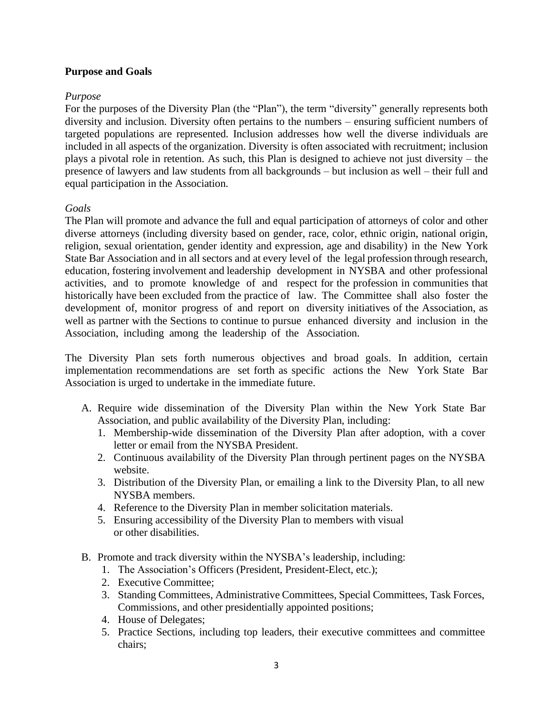## **Purpose and Goals**

## *Purpose*

For the purposes of the Diversity Plan (the "Plan"), the term "diversity" generally represents both diversity and inclusion. Diversity often pertains to the numbers – ensuring sufficient numbers of targeted populations are represented. Inclusion addresses how well the diverse individuals are included in all aspects of the organization. Diversity is often associated with recruitment; inclusion plays a pivotal role in retention. As such, this Plan is designed to achieve not just diversity – the presence of lawyers and law students from all backgrounds – but inclusion as well – their full and equal participation in the Association.

## *Goals*

The Plan will promote and advance the full and equal participation of attorneys of color and other diverse attorneys (including diversity based on gender, race, color, ethnic origin, national origin, religion, sexual orientation, gender identity and expression, age and disability) in the New York State Bar Association and in all sectors and at every level of the legal profession through research, education, fostering involvement and leadership development in NYSBA and other professional activities, and to promote knowledge of and respect for the profession in communities that historically have been excluded from the practice of law. The Committee shall also foster the development of, monitor progress of and report on diversity initiatives of the Association, as well as partner with the Sections to continue to pursue enhanced diversity and inclusion in the Association, including among the leadership of the Association.

The Diversity Plan sets forth numerous objectives and broad goals. In addition, certain implementation recommendations are set forth as specific actions the New York State Bar Association is urged to undertake in the immediate future.

- A. Require wide dissemination of the Diversity Plan within the New York State Bar Association, and public availability of the Diversity Plan, including:
	- 1. Membership-wide dissemination of the Diversity Plan after adoption, with a cover letter or email from the NYSBA President.
	- 2. Continuous availability of the Diversity Plan through pertinent pages on the NYSBA website.
	- 3. Distribution of the Diversity Plan, or emailing a link to the Diversity Plan, to all new NYSBA members.
	- 4. Reference to the Diversity Plan in member solicitation materials.
	- 5. Ensuring accessibility of the Diversity Plan to members with visual or other disabilities.
- B. Promote and track diversity within the NYSBA's leadership, including:
	- 1. The Association's Officers (President, President-Elect, etc.);
	- 2. Executive Committee;
	- 3. Standing Committees, Administrative Committees, Special Committees, Task Forces, Commissions, and other presidentially appointed positions;
	- 4. House of Delegates;
	- 5. Practice Sections, including top leaders, their executive committees and committee chairs;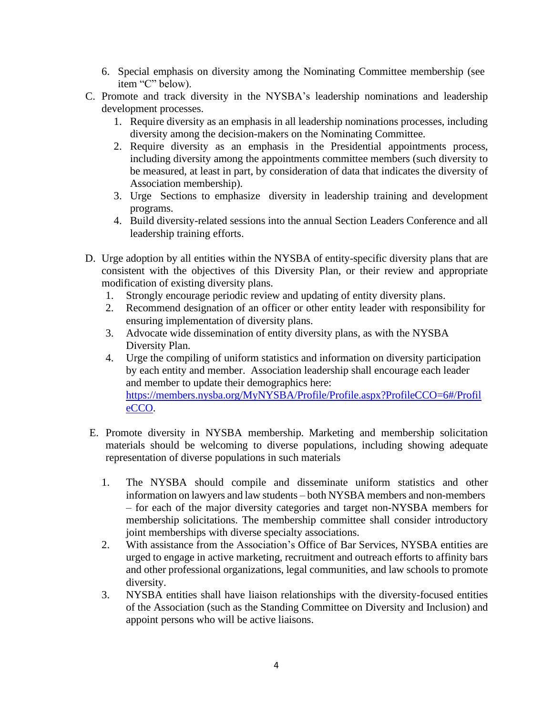- 6. Special emphasis on diversity among the Nominating Committee membership (see item "C" below).
- C. Promote and track diversity in the NYSBA's leadership nominations and leadership development processes.
	- 1. Require diversity as an emphasis in all leadership nominations processes, including diversity among the decision-makers on the Nominating Committee.
	- 2. Require diversity as an emphasis in the Presidential appointments process, including diversity among the appointments committee members (such diversity to be measured, at least in part, by consideration of data that indicates the diversity of Association membership).
	- 3. Urge Sections to emphasize diversity in leadership training and development programs.
	- 4. Build diversity-related sessions into the annual Section Leaders Conference and all leadership training efforts.
- D. Urge adoption by all entities within the NYSBA of entity-specific diversity plans that are consistent with the objectives of this Diversity Plan, or their review and appropriate modification of existing diversity plans.
	- 1. Strongly encourage periodic review and updating of entity diversity plans.
	- 2. Recommend designation of an officer or other entity leader with responsibility for ensuring implementation of diversity plans.
	- 3. Advocate wide dissemination of entity diversity plans, as with the NYSBA Diversity Plan.
	- 4. Urge the compiling of uniform statistics and information on diversity participation by each entity and member. Association leadership shall encourage each leader and member to update their demographics here: https://members.nysba.org/MyNYSBA/Profile/Profile.aspx?ProfileCCO=6#/Profil eCCO.
- E. Promote diversity in NYSBA membership. Marketing and membership solicitation materials should be welcoming to diverse populations, including showing adequate representation of diverse populations in such materials
	- 1. The NYSBA should compile and disseminate uniform statistics and other information on lawyers and law students – both NYSBA members and non-members – for each of the major diversity categories and target non-NYSBA members for membership solicitations. The membership committee shall consider introductory joint memberships with diverse specialty associations.
	- 2. With assistance from the Association's Office of Bar Services, NYSBA entities are urged to engage in active marketing, recruitment and outreach efforts to affinity bars and other professional organizations, legal communities, and law schools to promote diversity.
	- 3. NYSBA entities shall have liaison relationships with the diversity-focused entities of the Association (such as the Standing Committee on Diversity and Inclusion) and appoint persons who will be active liaisons.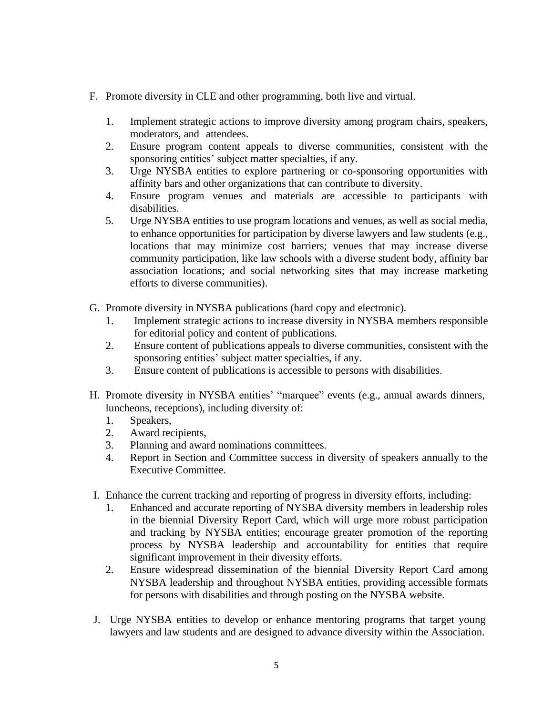- F. Promote diversity in CLE and other programming, both live and virtual.
	- 1. Implement strategic actions to improve diversity among program chairs, speakers, moderators, and attendees.
	- 2. Ensure program content appeals to diverse communities, consistent with the sponsoring entities' subject matter specialties, if any.
	- 3. Urge NYSBA entities to explore partnering or co-sponsoring opportunities with affinity bars and other organizations that can contribute to diversity.
	- 4. Ensure program venues and materials are accessible to participants with disabilities.
	- 5. Urge NYSBA entities to use program locations and venues, as well as social media, to enhance opportunities for participation by diverse lawyers and law students (e.g., locations that may minimize cost barriers; venues that may increase diverse community participation, like law schools with a diverse student body, affinity bar association locations; and social networking sites that may increase marketing efforts to diverse communities).
- G. Promote diversity in NYSBA publications (hard copy and electronic).
	- 1. Implement strategic actions to increase diversity in NYSBA members responsible for editorial policy and content of publications.
	- 2. Ensure content of publications appeals to diverse communities, consistent with the sponsoring entities' subject matter specialties, if any.
	- 3. Ensure content of publications is accessible to persons with disabilities.
- H. Promote diversity in NYSBA entities' "marquee" events (e.g., annual awards dinners, luncheons, receptions), including diversity of:
	- 1. Speakers,
	- 2. Award recipients,
	- 3. Planning and award nominations committees.
	- 4. Report in Section and Committee success in diversity of speakers annually to the Executive Committee.
- I. Enhance the current tracking and reporting of progress in diversity efforts, including:
	- 1. Enhanced and accurate reporting of NYSBA diversity members in leadership roles in the biennial Diversity Report Card, which will urge more robust participation and tracking by NYSBA entities; encourage greater promotion of the reporting process by NYSBA leadership and accountability for entities that require significant improvement in their diversity efforts.
	- 2. Ensure widespread dissemination of the biennial Diversity Report Card among NYSBA leadership and throughout NYSBA entities, providing accessible formats for persons with disabilities and through posting on the NYSBA website.
- J. Urge NYSBA entities to develop or enhance mentoring programs that target young lawyers and law students and are designed to advance diversity within the Association.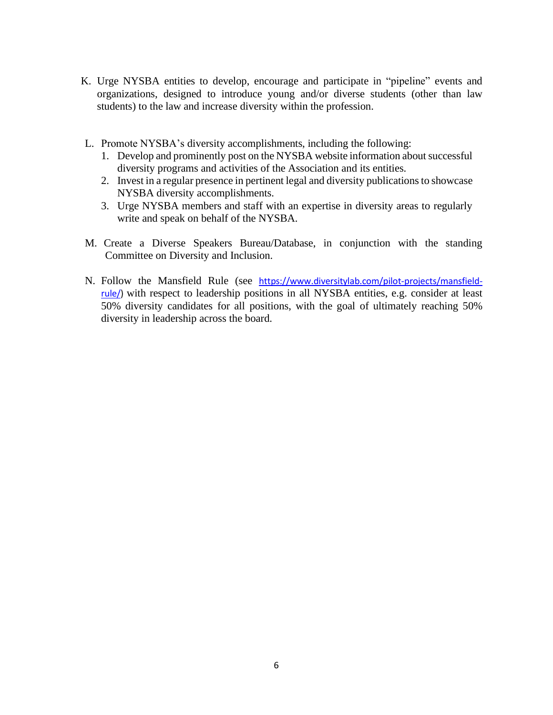- K. Urge NYSBA entities to develop, encourage and participate in "pipeline" events and organizations, designed to introduce young and/or diverse students (other than law students) to the law and increase diversity within the profession.
- L. Promote NYSBA's diversity accomplishments, including the following:
	- 1. Develop and prominently post on the NYSBA website information about successful diversity programs and activities of the Association and its entities.
	- 2. Invest in a regular presence in pertinent legal and diversity publicationsto showcase NYSBA diversity accomplishments.
	- 3. Urge NYSBA members and staff with an expertise in diversity areas to regularly write and speak on behalf of the NYSBA.
- M. Create a Diverse Speakers Bureau/Database, in conjunction with the standing Committee on Diversity and Inclusion.
- N. Follow the Mansfield Rule (see [https://www.diversitylab.com/pilot-projects/mansfield](https://www.diversitylab.com/pilot-projects/mansfield-rule/)[rule/\)](https://www.diversitylab.com/pilot-projects/mansfield-rule/) with respect to leadership positions in all NYSBA entities, e.g. consider at least 50% diversity candidates for all positions, with the goal of ultimately reaching 50% diversity in leadership across the board.